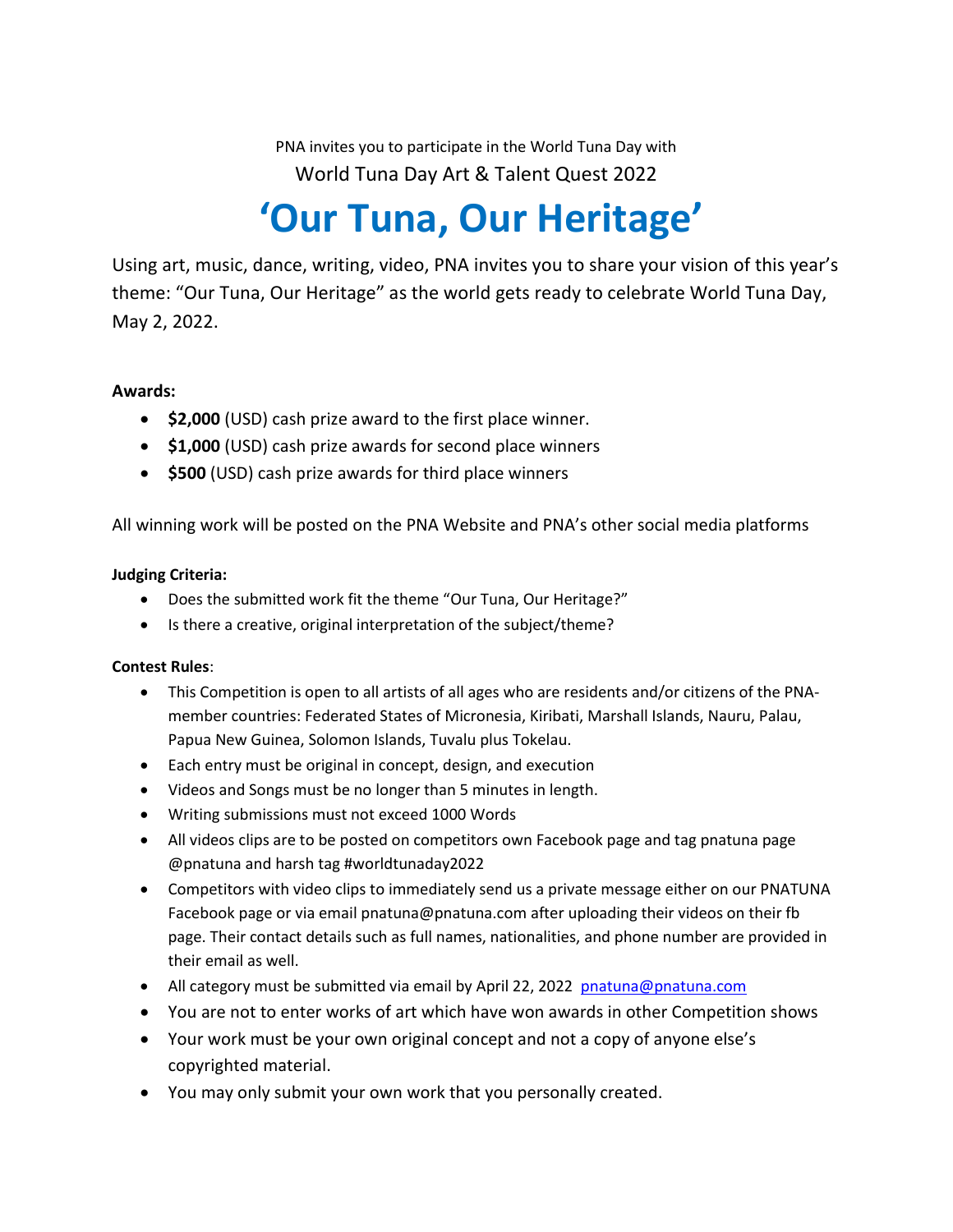PNA invites you to participate in the World Tuna Day with World Tuna Day Art & Talent Quest 2022

## **'Our Tuna, Our Heritage'**

Using art, music, dance, writing, video, PNA invites you to share your vision of this year's theme: "Our Tuna, Our Heritage" as the world gets ready to celebrate World Tuna Day, May 2, 2022.

## **Awards:**

- **\$2,000** (USD) cash prize award to the first place winner.
- **\$1,000** (USD) cash prize awards for second place winners
- **\$500** (USD) cash prize awards for third place winners

All winning work will be posted on the PNA Website and PNA's other social media platforms

## **Judging Criteria:**

- Does the submitted work fit the theme "Our Tuna, Our Heritage?"
- Is there a creative, original interpretation of the subject/theme?

## **Contest Rules**:

- This Competition is open to all artists of all ages who are residents and/or citizens of the PNAmember countries: Federated States of Micronesia, Kiribati, Marshall Islands, Nauru, Palau, Papua New Guinea, Solomon Islands, Tuvalu plus Tokelau.
- Each entry must be original in concept, design, and execution
- Videos and Songs must be no longer than 5 minutes in length.
- Writing submissions must not exceed 1000 Words
- All videos clips are to be posted on competitors own Facebook page and tag pnatuna page @pnatuna and harsh tag #worldtunaday2022
- Competitors with video clips to immediately send us a private message either on our PNATUNA Facebook page or via email [pnatuna@pnatuna.com](mailto:pnatuna@pnatuna.com) after uploading their videos on their fb page. Their contact details such as full names, nationalities, and phone number are provided in their email as well.
- All category must be submitted via email by April 22, 2022 [pnatuna@pnatuna.com](mailto:pnatuna@pnatuna.com)
- You are not to enter works of art which have won awards in other Competition shows
- Your work must be your own original concept and not a copy of anyone else's copyrighted material.
- You may only submit your own work that you personally created.